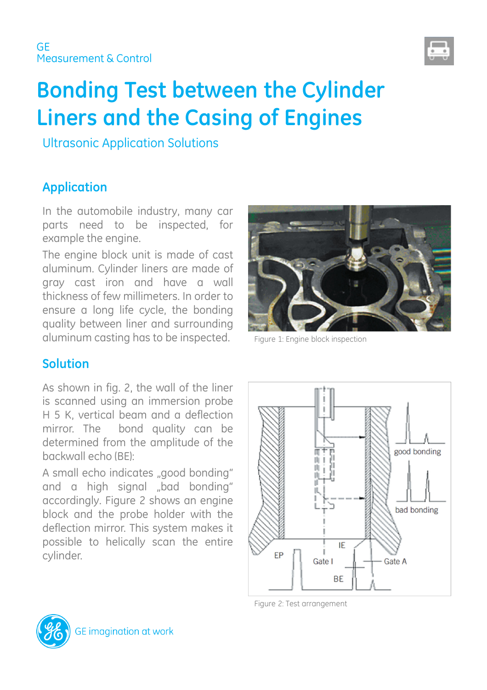

# **Bonding Test between the Cylinder Liners and the Casing of Engines**

Ultrasonic Application Solutions

## **Application**

In the automobile industry, many car parts need to be inspected, for example the engine.

The engine block unit is made of cast aluminum. Cylinder liners are made of gray cast iron and have a wall thickness of few millimeters. In order to ensure a long life cycle, the bonding quality between liner and surrounding aluminum casting has to be inspected. Figure 1: Engine block inspection



#### **Solution**

As shown in fig. 2, the wall of the liner is scanned using an immersion probe H 5 K, vertical beam and a deflection mirror. The bond quality can be determined from the amplitude of the backwall echo (BE):

A small echo indicates "good bonding" and a high signal "bad bonding" accordingly. Figure 2 shows an engine block and the probe holder with the deflection mirror. This system makes it possible to helically scan the entire cylinder.



Figure 2: Test arrangement